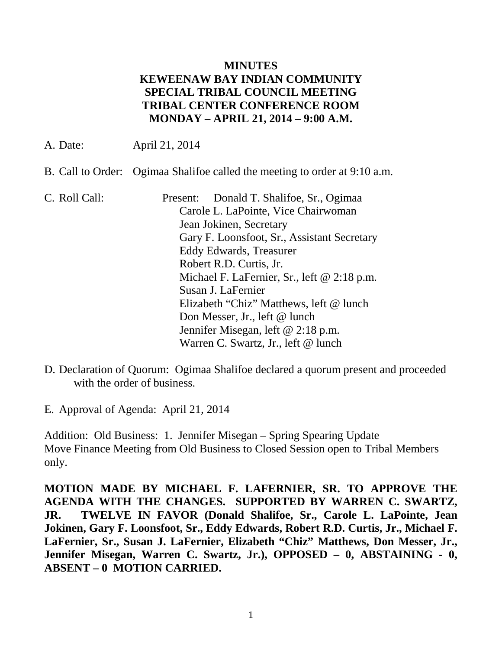### **MINUTES KEWEENAW BAY INDIAN COMMUNITY SPECIAL TRIBAL COUNCIL MEETING TRIBAL CENTER CONFERENCE ROOM MONDAY – APRIL 21, 2014 – 9:00 A.M.**

A. Date: April 21, 2014

- B. Call to Order: Ogimaa Shalifoe called the meeting to order at 9:10 a.m.
- C. Roll Call: Present: Donald T. Shalifoe, Sr., Ogimaa Carole L. LaPointe, Vice Chairwoman Jean Jokinen, Secretary Gary F. Loonsfoot, Sr., Assistant Secretary Eddy Edwards, Treasurer Robert R.D. Curtis, Jr. Michael F. LaFernier, Sr., left @ 2:18 p.m. Susan J. LaFernier Elizabeth "Chiz" Matthews, left @ lunch Don Messer, Jr., left @ lunch Jennifer Misegan, left @ 2:18 p.m. Warren C. Swartz, Jr., left @ lunch
- D. Declaration of Quorum: Ogimaa Shalifoe declared a quorum present and proceeded with the order of business.

E. Approval of Agenda: April 21, 2014

Addition: Old Business: 1. Jennifer Misegan – Spring Spearing Update Move Finance Meeting from Old Business to Closed Session open to Tribal Members only.

**MOTION MADE BY MICHAEL F. LAFERNIER, SR. TO APPROVE THE AGENDA WITH THE CHANGES. SUPPORTED BY WARREN C. SWARTZ, JR. TWELVE IN FAVOR (Donald Shalifoe, Sr., Carole L. LaPointe, Jean Jokinen, Gary F. Loonsfoot, Sr., Eddy Edwards, Robert R.D. Curtis, Jr., Michael F. LaFernier, Sr., Susan J. LaFernier, Elizabeth "Chiz" Matthews, Don Messer, Jr., Jennifer Misegan, Warren C. Swartz, Jr.), OPPOSED – 0, ABSTAINING - 0, ABSENT – 0 MOTION CARRIED.**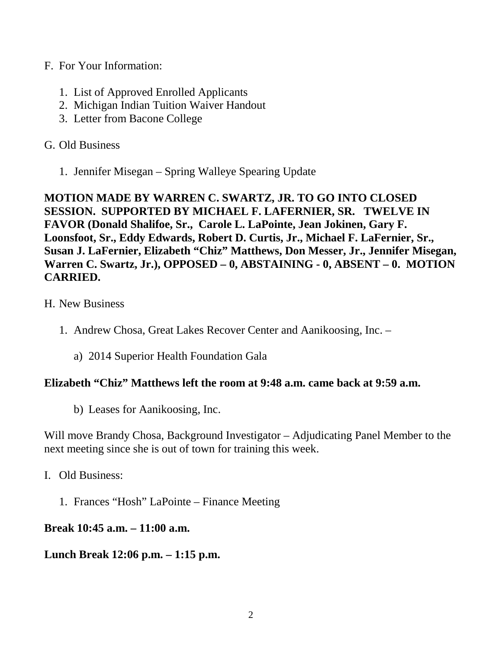- F. For Your Information:
	- 1. List of Approved Enrolled Applicants
	- 2. Michigan Indian Tuition Waiver Handout
	- 3. Letter from Bacone College

## G. Old Business

1. Jennifer Misegan – Spring Walleye Spearing Update

**MOTION MADE BY WARREN C. SWARTZ, JR. TO GO INTO CLOSED SESSION. SUPPORTED BY MICHAEL F. LAFERNIER, SR. TWELVE IN FAVOR (Donald Shalifoe, Sr., Carole L. LaPointe, Jean Jokinen, Gary F. Loonsfoot, Sr., Eddy Edwards, Robert D. Curtis, Jr., Michael F. LaFernier, Sr., Susan J. LaFernier, Elizabeth "Chiz" Matthews, Don Messer, Jr., Jennifer Misegan,**  Warren C. Swartz, Jr.), OPPOSED – 0, ABSTAINING - 0, ABSENT – 0. MOTION **CARRIED.**

- H. New Business
	- 1. Andrew Chosa, Great Lakes Recover Center and Aanikoosing, Inc.
		- a) 2014 Superior Health Foundation Gala

### **Elizabeth "Chiz" Matthews left the room at 9:48 a.m. came back at 9:59 a.m.**

b) Leases for Aanikoosing, Inc.

Will move Brandy Chosa, Background Investigator – Adjudicating Panel Member to the next meeting since she is out of town for training this week.

- I. Old Business:
	- 1. Frances "Hosh" LaPointe Finance Meeting

# **Break 10:45 a.m. – 11:00 a.m.**

### **Lunch Break 12:06 p.m. – 1:15 p.m.**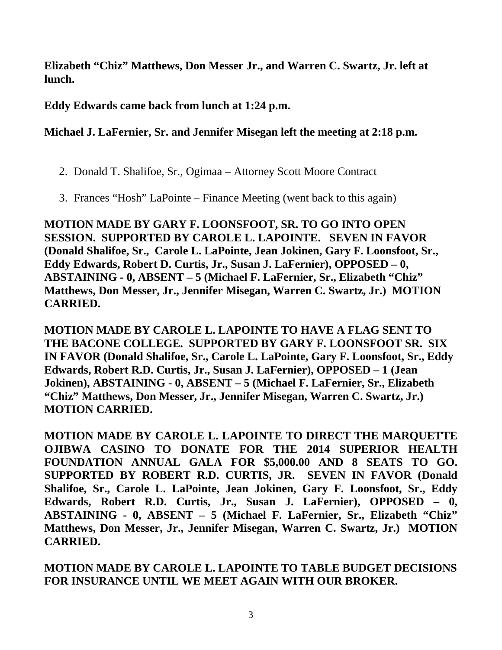**Elizabeth "Chiz" Matthews, Don Messer Jr., and Warren C. Swartz, Jr. left at lunch.**

**Eddy Edwards came back from lunch at 1:24 p.m.**

**Michael J. LaFernier, Sr. and Jennifer Misegan left the meeting at 2:18 p.m.**

- 2. Donald T. Shalifoe, Sr., Ogimaa Attorney Scott Moore Contract
- 3. Frances "Hosh" LaPointe Finance Meeting (went back to this again)

**MOTION MADE BY GARY F. LOONSFOOT, SR. TO GO INTO OPEN SESSION. SUPPORTED BY CAROLE L. LAPOINTE. SEVEN IN FAVOR (Donald Shalifoe, Sr., Carole L. LaPointe, Jean Jokinen, Gary F. Loonsfoot, Sr., Eddy Edwards, Robert D. Curtis, Jr., Susan J. LaFernier), OPPOSED – 0, ABSTAINING - 0, ABSENT – 5 (Michael F. LaFernier, Sr., Elizabeth "Chiz" Matthews, Don Messer, Jr., Jennifer Misegan, Warren C. Swartz, Jr.) MOTION CARRIED.**

**MOTION MADE BY CAROLE L. LAPOINTE TO HAVE A FLAG SENT TO THE BACONE COLLEGE. SUPPORTED BY GARY F. LOONSFOOT SR. SIX IN FAVOR (Donald Shalifoe, Sr., Carole L. LaPointe, Gary F. Loonsfoot, Sr., Eddy Edwards, Robert R.D. Curtis, Jr., Susan J. LaFernier), OPPOSED – 1 (Jean Jokinen), ABSTAINING - 0, ABSENT – 5 (Michael F. LaFernier, Sr., Elizabeth "Chiz" Matthews, Don Messer, Jr., Jennifer Misegan, Warren C. Swartz, Jr.) MOTION CARRIED.**

**MOTION MADE BY CAROLE L. LAPOINTE TO DIRECT THE MARQUETTE OJIBWA CASINO TO DONATE FOR THE 2014 SUPERIOR HEALTH FOUNDATION ANNUAL GALA FOR \$5,000.00 AND 8 SEATS TO GO. SUPPORTED BY ROBERT R.D. CURTIS, JR. SEVEN IN FAVOR (Donald Shalifoe, Sr., Carole L. LaPointe, Jean Jokinen, Gary F. Loonsfoot, Sr., Eddy Edwards, Robert R.D. Curtis, Jr., Susan J. LaFernier), OPPOSED – 0, ABSTAINING - 0, ABSENT – 5 (Michael F. LaFernier, Sr., Elizabeth "Chiz" Matthews, Don Messer, Jr., Jennifer Misegan, Warren C. Swartz, Jr.) MOTION CARRIED.**

**MOTION MADE BY CAROLE L. LAPOINTE TO TABLE BUDGET DECISIONS FOR INSURANCE UNTIL WE MEET AGAIN WITH OUR BROKER.**